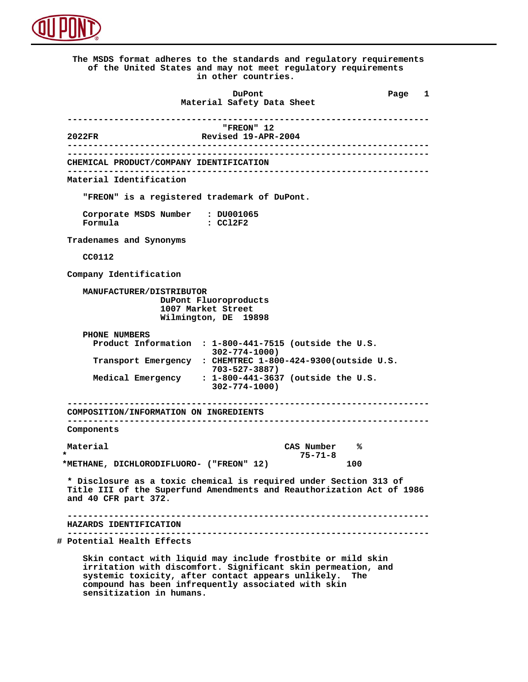

 **The MSDS format adheres to the standards and regulatory requirements of the United States and may not meet regulatory requirements in other countries. DuPont Different Page 1 Material Safety Data Sheet ----------------------------------------------------------------------** *FREON"* 12<br> **Revised 19-APR 2022FR Revised 19-APR-2004 ---------------------------------------------------------------------- ---------------------------------------------------------------------- CHEMICAL PRODUCT/COMPANY IDENTIFICATION ---------------------------------------------------------------------- Material Identification "FREON" is a registered trademark of DuPont. Corporate MSDS Number : DU001065 Formula : CCl2F2 Tradenames and Synonyms CC0112 Company Identification MANUFACTURER/DISTRIBUTOR DuPont Fluoroproducts 1007 Market Street Wilmington, DE 19898 PHONE NUMBERS Product Information : 1-800-441-7515 (outside the U.S. 302-774-1000) Transport Emergency : CHEMTREC 1-800-424-9300(outside U.S. 703-527-3887) Medical Emergency : 1-800-441-3637 (outside the U.S. 302-774-1000) ---------------------------------------------------------------------- COMPOSITION/INFORMATION ON INGREDIENTS ---------------------------------------------------------------------- Components Material CAS Number % \* 75-71-8 \*METHANE, DICHLORODIFLUORO- ("FREON" 12) 100 \* Disclosure as a toxic chemical is required under Section 313 of Title III of the Superfund Amendments and Reauthorization Act of 1986 and 40 CFR part 372. ---------------------------------------------------------------------- HAZARDS IDENTIFICATION ---------------------------------------------------------------------- # Potential Health Effects Skin contact with liquid may include frostbite or mild skin irritation with discomfort. Significant skin permeation, and systemic toxicity, after contact appears unlikely. The**

 **compound has been infrequently associated with skin sensitization in humans.**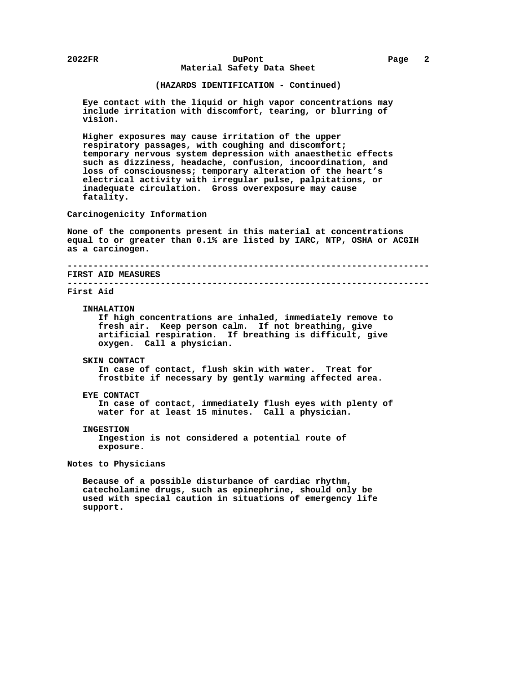# **2022FR DuPont Page 2 Material Safety Data Sheet**

# **(HAZARDS IDENTIFICATION - Continued)**

 **Eye contact with the liquid or high vapor concentrations may include irritation with discomfort, tearing, or blurring of vision.**

 **Higher exposures may cause irritation of the upper respiratory passages, with coughing and discomfort; temporary nervous system depression with anaesthetic effects such as dizziness, headache, confusion, incoordination, and loss of consciousness; temporary alteration of the heart's electrical activity with irregular pulse, palpitations, or inadequate circulation. Gross overexposure may cause fatality.**

 **Carcinogenicity Information**

 **None of the components present in this material at concentrations equal to or greater than 0.1% are listed by IARC, NTP, OSHA or ACGIH as a carcinogen.**

 **---------------------------------------------------------------------- FIRST AID MEASURES ----------------------------------------------------------------------**

#### **First Aid**

### **INHALATION**

 **If high concentrations are inhaled, immediately remove to fresh air. Keep person calm. If not breathing, give artificial respiration. If breathing is difficult, give oxygen. Call a physician.**

### **SKIN CONTACT**

 **In case of contact, flush skin with water. Treat for frostbite if necessary by gently warming affected area.**

### **EYE CONTACT**

 **In case of contact, immediately flush eyes with plenty of water for at least 15 minutes. Call a physician.**

## **INGESTION**

 **Ingestion is not considered a potential route of exposure.**

# **Notes to Physicians**

 **Because of a possible disturbance of cardiac rhythm, catecholamine drugs, such as epinephrine, should only be used with special caution in situations of emergency life support.**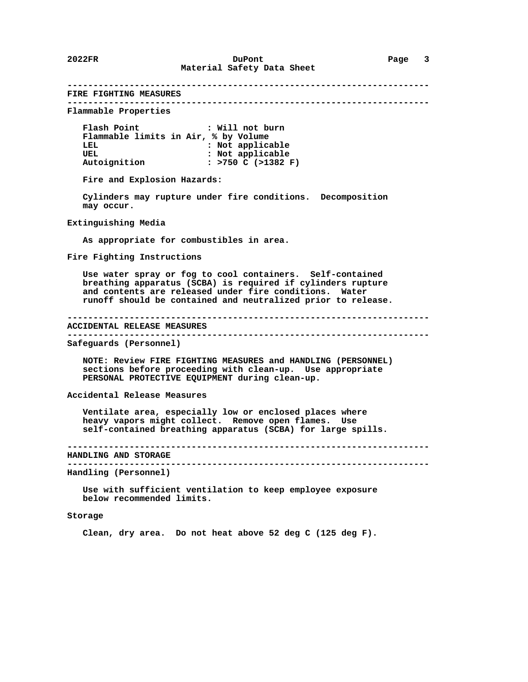**---------------------------------------------------------------------- FIRE FIGHTING MEASURES ---------------------------------------------------------------------- Flammable Properties Flash Point : Will not burn Flammable limits in Air, % by Volume :** Not applicable UEL **1988** : Not applicable  **Autoignition : >750 C (>1382 F) Fire and Explosion Hazards: Cylinders may rupture under fire conditions. Decomposition may occur. Extinguishing Media As appropriate for combustibles in area. Fire Fighting Instructions Use water spray or fog to cool containers. Self-contained breathing apparatus (SCBA) is required if cylinders rupture and contents are released under fire conditions. Water runoff should be contained and neutralized prior to release. ---------------------------------------------------------------------- ACCIDENTAL RELEASE MEASURES ---------------------------------------------------------------------- Safeguards (Personnel) NOTE: Review FIRE FIGHTING MEASURES and HANDLING (PERSONNEL) sections before proceeding with clean-up. Use appropriate PERSONAL PROTECTIVE EQUIPMENT during clean-up. Accidental Release Measures Ventilate area, especially low or enclosed places where heavy vapors might collect. Remove open flames. Use self-contained breathing apparatus (SCBA) for large spills. ---------------------------------------------------------------------- HANDLING AND STORAGE ---------------------------------------------------------------------- Handling (Personnel) Use with sufficient ventilation to keep employee exposure below recommended limits. Storage**

 **Clean, dry area. Do not heat above 52 deg C (125 deg F).**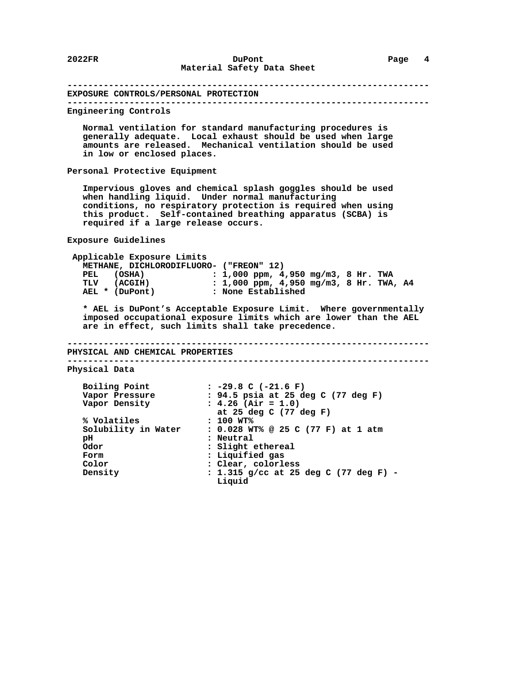**---------------------------------------------------------------------- EXPOSURE CONTROLS/PERSONAL PROTECTION ---------------------------------------------------------------------- Engineering Controls Normal ventilation for standard manufacturing procedures is generally adequate. Local exhaust should be used when large amounts are released. Mechanical ventilation should be used in low or enclosed places. Personal Protective Equipment Impervious gloves and chemical splash goggles should be used when handling liquid. Under normal manufacturing conditions, no respiratory protection is required when using this product. Self-contained breathing apparatus (SCBA) is required if a large release occurs. Exposure Guidelines Applicable Exposure Limits METHANE, DICHLORODIFLUORO- ("FREON" 12) PEL** (OSHA) : 1,000 ppm, 4,950 mg/m3, 8 Hr. TWA<br>TLV (ACGIH) : 1,000 ppm, 4,950 mg/m3, 8 Hr. TWA  **TLV (ACGIH) : 1,000 ppm, 4,950 mg/m3, 8 Hr. TWA, A4 :** None Established  **\* AEL is DuPont's Acceptable Exposure Limit. Where governmentally imposed occupational exposure limits which are lower than the AEL are in effect, such limits shall take precedence. ---------------------------------------------------------------------- PHYSICAL AND CHEMICAL PROPERTIES ---------------------------------------------------------------------- Physical Data Boiling Point : -29.8 C (-21.6 F) Vapor Pressure : 94.5 psia at 25 deg C (77 deg F) Vapor Density : 4.26 (Air = 1.0) :** 94.5 psia at 25 deg C (77 deg F)<br>**:** 4.26 (Air = 1.0)<br>at 25 deg C (77 deg F)  **% Volatiles : 100 WT% Solubility in Water : 0.028 WT% @ 25 C (77 F) at 1 atm pH : Neutral Odor : Slight ethereal Form**  $\begin{array}{ccc} \text{Form} & \text{: liquidfied gas} \\ \text{Color} & \text{: Clear, color1} \end{array}$ **Color** : Clear, colorless<br>Density : 1.315 g/cc at 25  **Density : 1.315 g/cc at 25 deg C (77 deg F) - Liquid**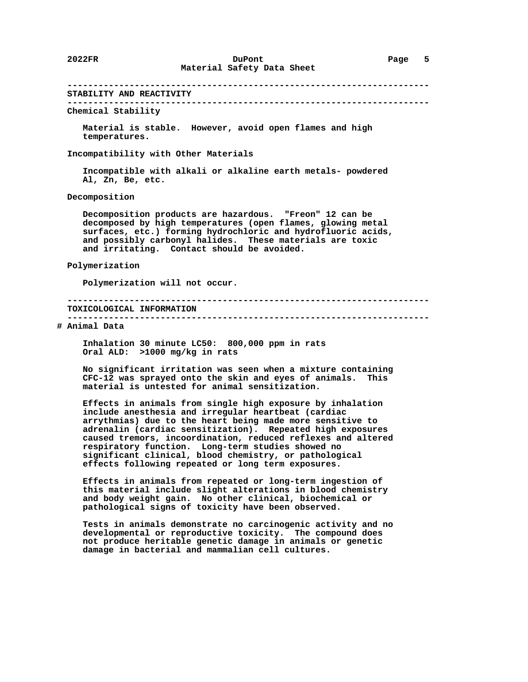**---------------------------------------------------------------------- STABILITY AND REACTIVITY ---------------------------------------------------------------------- Chemical Stability Material is stable. However, avoid open flames and high temperatures. Incompatibility with Other Materials Incompatible with alkali or alkaline earth metals- powdered Al, Zn, Be, etc. Decomposition Decomposition products are hazardous. "Freon" 12 can be decomposed by high temperatures (open flames, glowing metal surfaces, etc.) forming hydrochloric and hydrofluoric acids, and possibly carbonyl halides. These materials are toxic and irritating. Contact should be avoided. Polymerization Polymerization will not occur. ---------------------------------------------------------------------- TOXICOLOGICAL INFORMATION ---------------------------------------------------------------------- # Animal Data Inhalation 30 minute LC50: 800,000 ppm in rats Oral ALD: >1000 mg/kg in rats No significant irritation was seen when a mixture containing CFC-12 was sprayed onto the skin and eyes of animals. This material is untested for animal sensitization. Effects in animals from single high exposure by inhalation include anesthesia and irregular heartbeat (cardiac arrythmias) due to the heart being made more sensitive to adrenalin (cardiac sensitization). Repeated high exposures caused tremors, incoordination, reduced reflexes and altered respiratory function. Long-term studies showed no significant clinical, blood chemistry, or pathological effects following repeated or long term exposures.**

 **Effects in animals from repeated or long-term ingestion of this material include slight alterations in blood chemistry and body weight gain. No other clinical, biochemical or pathological signs of toxicity have been observed.**

 **Tests in animals demonstrate no carcinogenic activity and no developmental or reproductive toxicity. The compound does not produce heritable genetic damage in animals or genetic damage in bacterial and mammalian cell cultures.**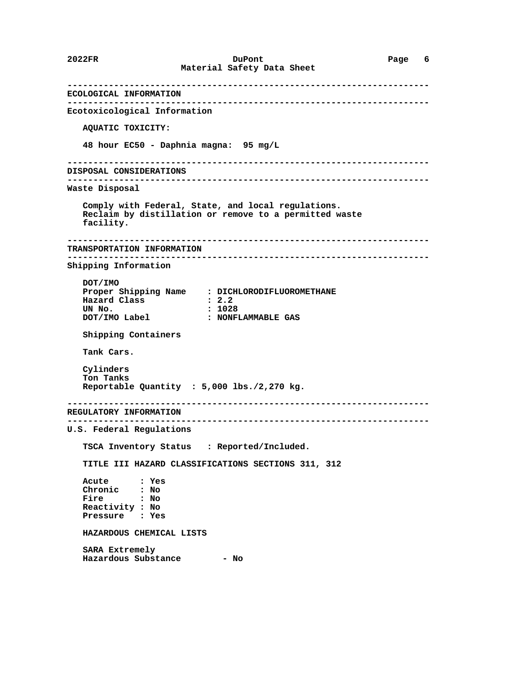**---------------------------------------------------------------------- ECOLOGICAL INFORMATION ---------------------------------------------------------------------- Ecotoxicological Information AQUATIC TOXICITY: 48 hour EC50 - Daphnia magna: 95 mg/L ---------------------------------------------------------------------- DISPOSAL CONSIDERATIONS ---------------------------------------------------------------------- Waste Disposal Comply with Federal, State, and local regulations. Reclaim by distillation or remove to a permitted waste facility. ---------------------------------------------------------------------- TRANSPORTATION INFORMATION ---------------------------------------------------------------------- Shipping Information DOT/IMO Proper Shipping Name : DICHLORODIFLUOROMETHANE Hazard Class<br>UN No.** UN No. <br> **DOT/IMO Label : NONF : NONFLAMMABLE GAS Shipping Containers Tank Cars. Cylinders Ton Tanks Reportable Quantity : 5,000 lbs./2,270 kg. ---------------------------------------------------------------------- REGULATORY INFORMATION ---------------------------------------------------------------------- U.S. Federal Regulations TSCA Inventory Status : Reported/Included. TITLE III HAZARD CLASSIFICATIONS SECTIONS 311, 312 Acute : Yes Chronic : No Fire : No Reactivity : No Pressure : Yes HAZARDOUS CHEMICAL LISTS SARA Extremely Hazardous Substance - No**